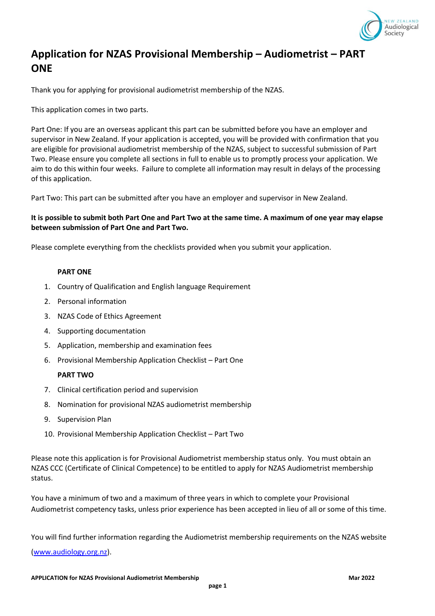

## **Application for NZAS Provisional Membership – Audiometrist – PART ONE**

Thank you for applying for provisional audiometrist membership of the NZAS.

This application comes in two parts.

Part One: If you are an overseas applicant this part can be submitted before you have an employer and supervisor in New Zealand. If your application is accepted, you will be provided with confirmation that you are eligible for provisional audiometrist membership of the NZAS, subject to successful submission of Part Two. Please ensure you complete all sections in full to enable us to promptly process your application. We aim to do this within four weeks. Failure to complete all information may result in delays of the processing of this application.

Part Two: This part can be submitted after you have an employer and supervisor in New Zealand.

## **It is possible to submit both Part One and Part Two at the same time. A maximum of one year may elapse between submission of Part One and Part Two.**

Please complete everything from the checklists provided when you submit your application.

#### **PART ONE**

- 1. Country of Qualification and English language Requirement
- 2. Personal information
- 3. NZAS Code of Ethics Agreement
- 4. Supporting documentation
- 5. Application, membership and examination fees
- 6. Provisional Membership Application Checklist Part One

#### **PART TWO**

- 7. Clinical certification period and supervision
- 8. Nomination for provisional NZAS audiometrist membership
- 9. Supervision Plan
- 10. Provisional Membership Application Checklist Part Two

Please note this application is for Provisional Audiometrist membership status only. You must obtain an NZAS CCC (Certificate of Clinical Competence) to be entitled to apply for NZAS Audiometrist membership status.

You have a minimum of two and a maximum of three years in which to complete your Provisional Audiometrist competency tasks, unless prior experience has been accepted in lieu of all or some of this time.

You will find further information regarding the Audiometrist membership requirements on the NZAS website [\(www.audiology.org.nz\)](http://www.audiology.org.nz/).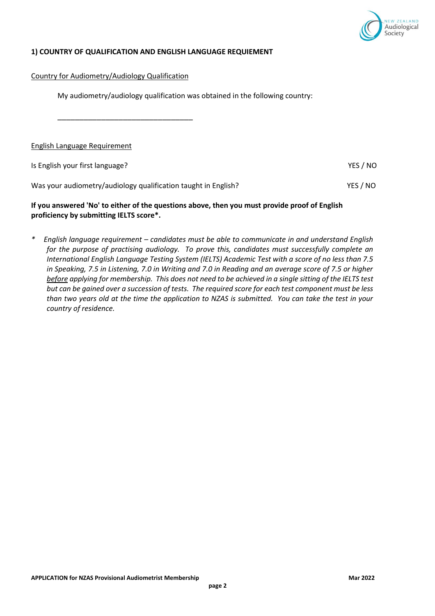

## **1) COUNTRY OF QUALIFICATION AND ENGLISH LANGUAGE REQUIEMENT**

Country for Audiometry/Audiology Qualification

My audiometry/audiology qualification was obtained in the following country:

\_\_\_\_\_\_\_\_\_\_\_\_\_\_\_\_\_\_\_\_\_\_\_\_\_\_\_\_\_\_\_

English Language Requirement

Is English your first language? The Contract of the Contract of the Contract of the VES / NO

Was your audiometry/audiology qualification taught in English? VES / NO

#### **If you answered 'No' to either of the questions above, then you must provide proof of English proficiency by submitting IELTS score\*.**

*\* English language requirement – candidates must be able to communicate in and understand English for the purpose of practising audiology. To prove this, candidates must successfully complete an International English Language Testing System (IELTS) Academic Test with a score of no less than 7.5 in Speaking, 7.5 in Listening, 7.0 in Writing and 7.0 in Reading and an average score of 7.5 or higher before applying for membership. This does not need to be achieved in a single sitting of the IELTS test but can be gained over a succession of tests. The required score for each test component must be less than two years old at the time the application to NZAS is submitted. You can take the test in your country of residence.*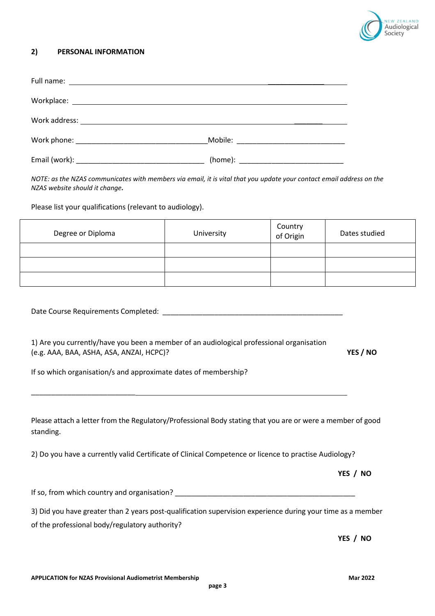

## **2) PERSONAL INFORMATION**

| NOTE: as the NZAS communicates with members via email, it is vital that you update your contact email address on the<br>NZAS website should it change.                                                              |            |                      |                      |
|---------------------------------------------------------------------------------------------------------------------------------------------------------------------------------------------------------------------|------------|----------------------|----------------------|
| Please list your qualifications (relevant to audiology).                                                                                                                                                            |            |                      |                      |
| Degree or Diploma                                                                                                                                                                                                   | University | Country<br>of Origin | Dates studied        |
|                                                                                                                                                                                                                     |            |                      |                      |
|                                                                                                                                                                                                                     |            |                      |                      |
|                                                                                                                                                                                                                     |            |                      |                      |
|                                                                                                                                                                                                                     |            |                      |                      |
|                                                                                                                                                                                                                     |            |                      |                      |
|                                                                                                                                                                                                                     |            |                      |                      |
| 1) Are you currently/have you been a member of an audiological professional organisation<br>(e.g. AAA, BAA, ASHA, ASA, ANZAI, HCPC)?                                                                                |            |                      |                      |
|                                                                                                                                                                                                                     |            |                      |                      |
| If so which organisation/s and approximate dates of membership?                                                                                                                                                     |            |                      |                      |
|                                                                                                                                                                                                                     |            |                      |                      |
|                                                                                                                                                                                                                     |            |                      |                      |
| Please attach a letter from the Regulatory/Professional Body stating that you are or were a member of good<br>2) Do you have a currently valid Certificate of Clinical Competence or licence to practise Audiology? |            |                      |                      |
|                                                                                                                                                                                                                     |            |                      |                      |
|                                                                                                                                                                                                                     |            |                      |                      |
| standing.<br>3) Did you have greater than 2 years post-qualification supervision experience during your time as a member                                                                                            |            |                      | YES / NO<br>YES / NO |
| of the professional body/regulatory authority?                                                                                                                                                                      |            |                      |                      |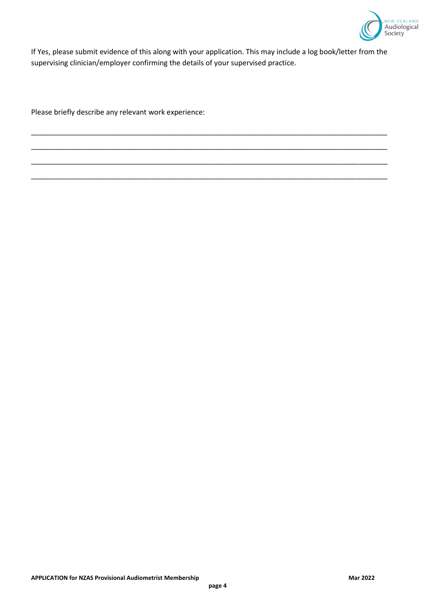

If Yes, please submit evidence of this along with your application. This may include a log book/letter from the supervising clinician/employer confirming the details of your supervised practice.

\_\_\_\_\_\_\_\_\_\_\_\_\_\_\_\_\_\_\_\_\_\_\_\_\_\_\_\_\_\_\_\_\_\_\_\_\_\_\_\_\_\_\_\_\_\_\_\_\_\_\_\_\_\_\_\_\_\_\_\_\_\_\_\_\_\_\_\_\_\_\_\_\_\_\_\_\_\_\_\_\_\_\_\_\_\_\_\_\_

\_\_\_\_\_\_\_\_\_\_\_\_\_\_\_\_\_\_\_\_\_\_\_\_\_\_\_\_\_\_\_\_\_\_\_\_\_\_\_\_\_\_\_\_\_\_\_\_\_\_\_\_\_\_\_\_\_\_\_\_\_\_\_\_\_\_\_\_\_\_\_\_\_\_\_\_\_\_\_\_\_\_\_\_\_\_\_\_\_

\_\_\_\_\_\_\_\_\_\_\_\_\_\_\_\_\_\_\_\_\_\_\_\_\_\_\_\_\_\_\_\_\_\_\_\_\_\_\_\_\_\_\_\_\_\_\_\_\_\_\_\_\_\_\_\_\_\_\_\_\_\_\_\_\_\_\_\_\_\_\_\_\_\_\_\_\_\_\_\_\_\_\_\_\_\_\_\_\_

\_\_\_\_\_\_\_\_\_\_\_\_\_\_\_\_\_\_\_\_\_\_\_\_\_\_\_\_\_\_\_\_\_\_\_\_\_\_\_\_\_\_\_\_\_\_\_\_\_\_\_\_\_\_\_\_\_\_\_\_\_\_\_\_\_\_\_\_\_\_\_\_\_\_\_\_\_\_\_\_\_\_\_\_\_\_\_\_\_

Please briefly describe any relevant work experience: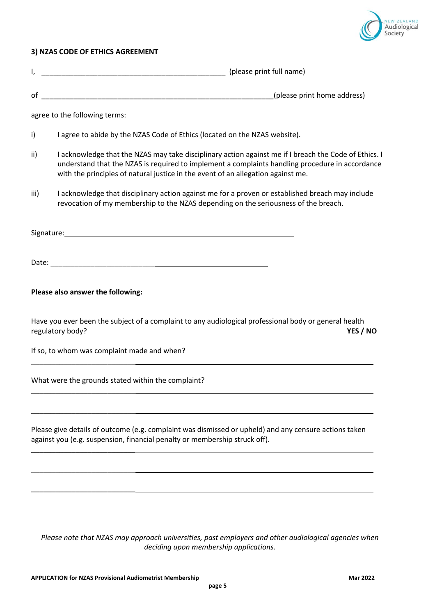

## **3) NZAS CODE OF ETHICS AGREEMENT**

| I,   |                                                                                                                                                                                                                                                                                              |
|------|----------------------------------------------------------------------------------------------------------------------------------------------------------------------------------------------------------------------------------------------------------------------------------------------|
|      |                                                                                                                                                                                                                                                                                              |
|      | agree to the following terms:                                                                                                                                                                                                                                                                |
| i)   | I agree to abide by the NZAS Code of Ethics (located on the NZAS website).                                                                                                                                                                                                                   |
| ii)  | I acknowledge that the NZAS may take disciplinary action against me if I breach the Code of Ethics. I<br>understand that the NZAS is required to implement a complaints handling procedure in accordance<br>with the principles of natural justice in the event of an allegation against me. |
| iii) | I acknowledge that disciplinary action against me for a proven or established breach may include<br>revocation of my membership to the NZAS depending on the seriousness of the breach.                                                                                                      |
|      |                                                                                                                                                                                                                                                                                              |
|      | Date: Note: Note: Note: Note: Note: Note: Note: Note: Note: Note: Note: Note: Note: Note: Note: Note: Note: Note: Note: Note: Note: Note: Note: Note: Note: Note: Note: Note: Note: Note: Note: Note: Note: Note: Note: Note:                                                                |
|      | Please also answer the following:                                                                                                                                                                                                                                                            |
|      | Have you ever been the subject of a complaint to any audiological professional body or general health<br>regulatory body?<br>YES / NO                                                                                                                                                        |
|      | If so, to whom was complaint made and when?                                                                                                                                                                                                                                                  |
|      | What were the grounds stated within the complaint?                                                                                                                                                                                                                                           |
|      | Please give details of outcome (e.g. complaint was dismissed or upheld) and any censure actions taken<br>against you (e.g. suspension, financial penalty or membership struck off).                                                                                                          |
|      |                                                                                                                                                                                                                                                                                              |

*Please note that NZAS may approach universities, past employers and other audiological agencies when deciding upon membership applications.*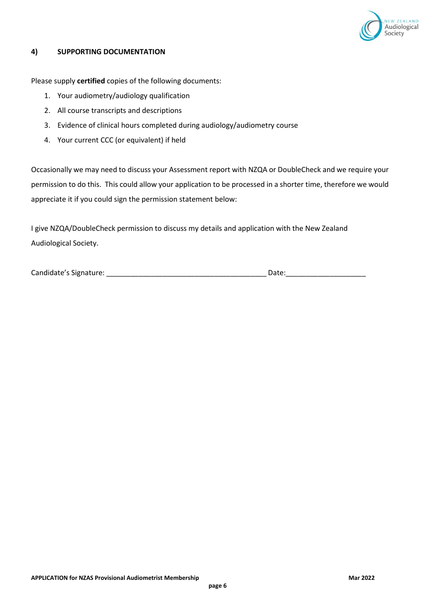

### **4) SUPPORTING DOCUMENTATION**

Please supply **certified** copies of the following documents:

- 1. Your audiometry/audiology qualification
- 2. All course transcripts and descriptions
- 3. Evidence of clinical hours completed during audiology/audiometry course
- 4. Your current CCC (or equivalent) if held

Occasionally we may need to discuss your Assessment report with NZQA or DoubleCheck and we require your permission to do this. This could allow your application to be processed in a shorter time, therefore we would appreciate it if you could sign the permission statement below:

I give NZQA/DoubleCheck permission to discuss my details and application with the New Zealand Audiological Society.

Candidate's Signature: \_\_\_\_\_\_\_\_\_\_\_\_\_\_\_\_\_\_\_\_\_\_\_\_\_\_\_\_\_\_\_\_\_\_\_\_\_\_\_\_ Date:\_\_\_\_\_\_\_\_\_\_\_\_\_\_\_\_\_\_\_\_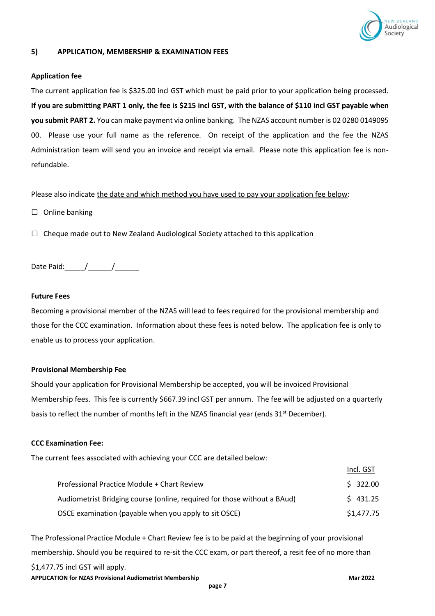

### **5) APPLICATION, MEMBERSHIP & EXAMINATION FEES**

#### **Application fee**

The current application fee is \$325.00 incl GST which must be paid prior to your application being processed. **If you are submitting PART 1 only, the fee is \$215 incl GST, with the balance of \$110 incl GST payable when you submit PART 2.** You can make payment via online banking. The NZAS account number is 02 0280 0149095 00. Please use your full name as the reference. On receipt of the application and the fee the NZAS Administration team will send you an invoice and receipt via email. Please note this application fee is nonrefundable.

Please also indicate the date and which method you have used to pay your application fee below:

□ Online banking

 $\Box$  Cheque made out to New Zealand Audiological Society attached to this application

Date Paid:\_\_\_\_\_/\_\_\_\_\_\_/\_\_\_\_\_\_

#### **Future Fees**

Becoming a provisional member of the NZAS will lead to fees required for the provisional membership and those for the CCC examination. Information about these fees is noted below. The application fee is only to enable us to process your application.

#### **Provisional Membership Fee**

Should your application for Provisional Membership be accepted, you will be invoiced Provisional Membership fees. This fee is currently \$667.39 incl GST per annum. The fee will be adjusted on a quarterly basis to reflect the number of months left in the NZAS financial year (ends  $31<sup>st</sup>$  December).

#### **CCC Examination Fee:**

The current fees associated with achieving your CCC are detailed below:

|                                                                          | Incl. GST  |
|--------------------------------------------------------------------------|------------|
| Professional Practice Module + Chart Review                              | \$322.00   |
| Audiometrist Bridging course (online, required for those without a BAud) | \$431.25   |
| OSCE examination (payable when you apply to sit OSCE)                    | \$1,477.75 |

The Professional Practice Module + Chart Review fee is to be paid at the beginning of your provisional membership. Should you be required to re-sit the CCC exam, or part thereof, a resit fee of no more than \$1,477.75 incl GST will apply.

**APPLICATION for NZAS Provisional Audiometrist Membership Mar 2022**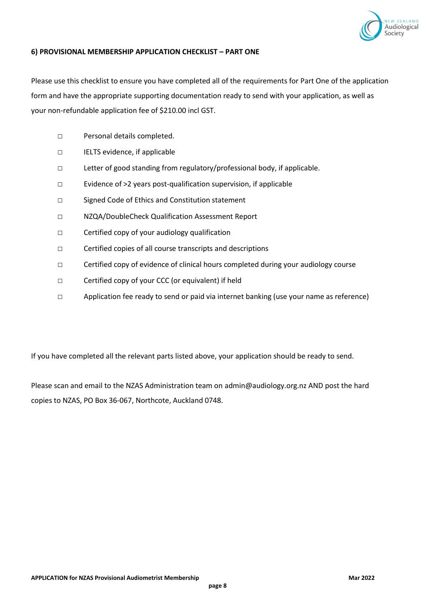

#### **6) PROVISIONAL MEMBERSHIP APPLICATION CHECKLIST – PART ONE**

Please use this checklist to ensure you have completed all of the requirements for Part One of the application form and have the appropriate supporting documentation ready to send with your application, as well as your non-refundable application fee of \$210.00 incl GST.

- □ Personal details completed.
- □ IELTS evidence, if applicable
- □ Letter of good standing from regulatory/professional body, if applicable.
- □ Evidence of >2 years post-qualification supervision, if applicable
- □ Signed Code of Ethics and Constitution statement
- □ NZQA/DoubleCheck Qualification Assessment Report
- □ Certified copy of your audiology qualification
- □ Certified copies of all course transcripts and descriptions
- □ Certified copy of evidence of clinical hours completed during your audiology course
- □ Certified copy of your CCC (or equivalent) if held
- □ Application fee ready to send or paid via internet banking (use your name as reference)

If you have completed all the relevant parts listed above, your application should be ready to send.

Please scan and email to the NZAS Administration team on admin@audiology.org.nz AND post the hard copies to NZAS, PO Box 36-067, Northcote, Auckland 0748.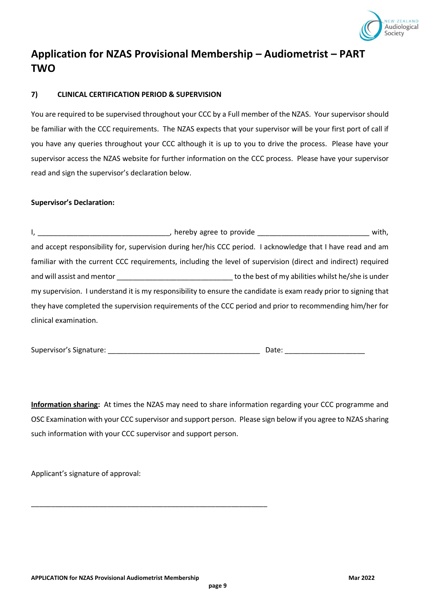

# **Application for NZAS Provisional Membership – Audiometrist – PART TWO**

## **7) CLINICAL CERTIFICATION PERIOD & SUPERVISION**

You are required to be supervised throughout your CCC by a Full member of the NZAS. Your supervisor should be familiar with the CCC requirements. The NZAS expects that your supervisor will be your first port of call if you have any queries throughout your CCC although it is up to you to drive the process. Please have your supervisor access the NZAS website for further information on the CCC process. Please have your supervisor read and sign the supervisor's declaration below.

#### **Supervisor's Declaration:**

|                                                                                                                                                                                                                                | hereby agree to provide express and the set of the set of the set of the set of the set of the set of the set o<br>with, |
|--------------------------------------------------------------------------------------------------------------------------------------------------------------------------------------------------------------------------------|--------------------------------------------------------------------------------------------------------------------------|
| and accept responsibility for, supervision during her/his CCC period. I acknowledge that I have read and am                                                                                                                    |                                                                                                                          |
| familiar with the current CCC requirements, including the level of supervision (direct and indirect) required                                                                                                                  |                                                                                                                          |
| and will assist and mentor and the state of the state of the state of the state of the state of the state of the state of the state of the state of the state of the state of the state of the state of the state of the state | to the best of my abilities whilst he/she is under                                                                       |
| my supervision. I understand it is my responsibility to ensure the candidate is exam ready prior to signing that                                                                                                               |                                                                                                                          |
| they have completed the supervision requirements of the CCC period and prior to recommending him/her for                                                                                                                       |                                                                                                                          |
| clinical examination.                                                                                                                                                                                                          |                                                                                                                          |

| Supervisor's Signature: |  |
|-------------------------|--|
|-------------------------|--|

Supervisor's Signature: \_\_\_\_\_\_\_\_\_\_\_\_\_\_\_\_\_\_\_\_\_\_\_\_\_\_\_\_\_\_\_\_\_\_\_\_\_\_ Date: \_\_\_\_\_\_\_\_\_\_\_\_\_\_\_\_\_\_\_\_

**Information sharing:** At times the NZAS may need to share information regarding your CCC programme and OSC Examination with your CCC supervisor and support person. Please sign below if you agree to NZAS sharing such information with your CCC supervisor and support person.

Applicant's signature of approval:

\_\_\_\_\_\_\_\_\_\_\_\_\_\_\_\_\_\_\_\_\_\_\_\_\_\_\_\_\_\_\_\_\_\_\_\_\_\_\_\_\_\_\_\_\_\_\_\_\_\_\_\_\_\_\_\_\_\_\_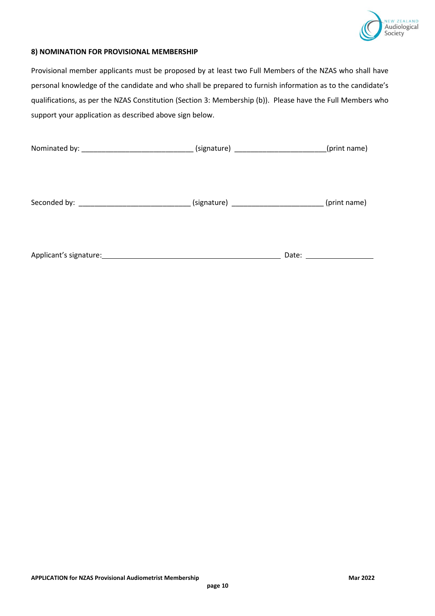

## **8) NOMINATION FOR PROVISIONAL MEMBERSHIP**

Provisional member applicants must be proposed by at least two Full Members of the NZAS who shall have personal knowledge of the candidate and who shall be prepared to furnish information as to the candidate's qualifications, as per the NZAS Constitution (Section 3: Membership (b)). Please have the Full Members who support your application as described above sign below.

|                                                                                        |  | (print name)               |
|----------------------------------------------------------------------------------------|--|----------------------------|
|                                                                                        |  |                            |
|                                                                                        |  |                            |
| Seconded by: ___________________________(signature) ______________________(print name) |  |                            |
|                                                                                        |  |                            |
|                                                                                        |  |                            |
|                                                                                        |  | Date: ____________________ |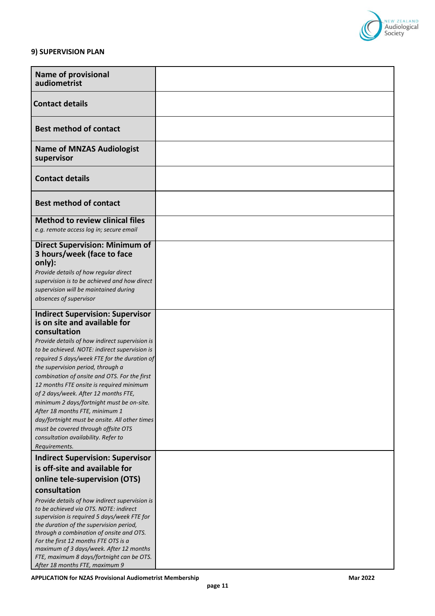

#### **9) SUPERVISION PLAN**

| <b>Name of provisional</b><br>audiometrist                                                    |  |
|-----------------------------------------------------------------------------------------------|--|
| <b>Contact details</b>                                                                        |  |
| <b>Best method of contact</b>                                                                 |  |
| <b>Name of MNZAS Audiologist</b><br>supervisor                                                |  |
| <b>Contact details</b>                                                                        |  |
| <b>Best method of contact</b>                                                                 |  |
| <b>Method to review clinical files</b>                                                        |  |
| e.g. remote access log in; secure email                                                       |  |
| <b>Direct Supervision: Minimum of</b><br>3 hours/week (face to face<br>only):                 |  |
| Provide details of how regular direct                                                         |  |
| supervision is to be achieved and how direct                                                  |  |
| supervision will be maintained during                                                         |  |
| absences of supervisor                                                                        |  |
| <b>Indirect Supervision: Supervisor</b>                                                       |  |
| is on site and available for                                                                  |  |
| consultation                                                                                  |  |
| Provide details of how indirect supervision is                                                |  |
| to be achieved. NOTE: indirect supervision is<br>required 5 days/week FTE for the duration of |  |
| the supervision period, through a                                                             |  |
| combination of onsite and OTS. For the first                                                  |  |
| 12 months FTE onsite is required minimum                                                      |  |
| of 2 days/week. After 12 months FTE,                                                          |  |
| minimum 2 days/fortnight must be on-site.                                                     |  |
| After 18 months FTE, minimum 1                                                                |  |
| day/fortnight must be onsite. All other times                                                 |  |
| must be covered through offsite OTS                                                           |  |
| consultation availability. Refer to                                                           |  |
| Requirements.                                                                                 |  |
| <b>Indirect Supervision: Supervisor</b>                                                       |  |
| is off-site and available for                                                                 |  |
| online tele-supervision (OTS)                                                                 |  |
| consultation                                                                                  |  |
| Provide details of how indirect supervision is                                                |  |
| to be achieved via OTS. NOTE: indirect                                                        |  |
| supervision is required 5 days/week FTE for<br>the duration of the supervision period,        |  |
| through a combination of onsite and OTS.                                                      |  |
| For the first 12 months FTE OTS is a                                                          |  |
| maximum of 3 days/week. After 12 months                                                       |  |
| FTE, maximum 8 days/fortnight can be OTS.                                                     |  |
| After 18 months FTE, maximum 9                                                                |  |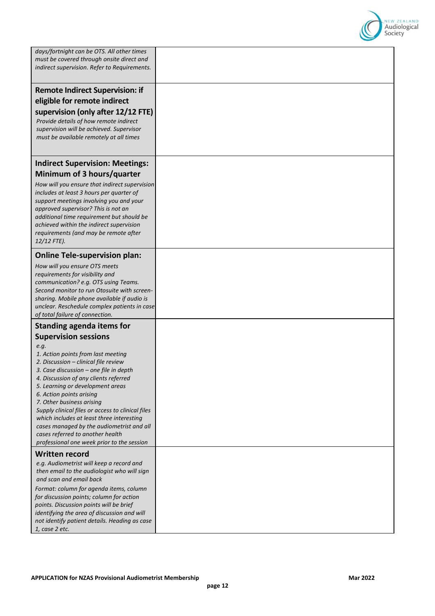

| days/fortnight can be OTS. All other times<br>must be covered through onsite direct and<br>indirect supervision. Refer to Requirements.                                                                                                                                                                                                                                                                                                                                                                                            |  |
|------------------------------------------------------------------------------------------------------------------------------------------------------------------------------------------------------------------------------------------------------------------------------------------------------------------------------------------------------------------------------------------------------------------------------------------------------------------------------------------------------------------------------------|--|
| <b>Remote Indirect Supervision: if</b><br>eligible for remote indirect<br>supervision (only after 12/12 FTE)<br>Provide details of how remote indirect<br>supervision will be achieved. Supervisor<br>must be available remotely at all times                                                                                                                                                                                                                                                                                      |  |
| <b>Indirect Supervision: Meetings:</b>                                                                                                                                                                                                                                                                                                                                                                                                                                                                                             |  |
| Minimum of 3 hours/quarter<br>How will you ensure that indirect supervision<br>includes at least 3 hours per quarter of<br>support meetings involving you and your<br>approved supervisor? This is not an<br>additional time requirement but should be<br>achieved within the indirect supervision<br>requirements (and may be remote after<br>12/12 FTE).                                                                                                                                                                         |  |
| <b>Online Tele-supervision plan:</b>                                                                                                                                                                                                                                                                                                                                                                                                                                                                                               |  |
| How will you ensure OTS meets<br>requirements for visibility and<br>communication? e.g. OTS using Teams.<br>Second monitor to run Otosuite with screen-<br>sharing. Mobile phone available if audio is<br>unclear. Reschedule complex patients in case<br>of total failure of connection.                                                                                                                                                                                                                                          |  |
| <b>Standing agenda items for</b>                                                                                                                                                                                                                                                                                                                                                                                                                                                                                                   |  |
| <b>Supervision sessions</b><br>e.g.<br>1. Action points from last meeting<br>2. Discussion - clinical file review<br>3. Case discussion – one file in depth<br>4. Discussion of any clients referred<br>5. Learning or development areas<br>6. Action points arising<br>7. Other business arising<br>Supply clinical files or access to clinical files<br>which includes at least three interesting<br>cases managed by the audiometrist and all<br>cases referred to another health<br>professional one week prior to the session |  |
| Written record                                                                                                                                                                                                                                                                                                                                                                                                                                                                                                                     |  |
| e.g. Audiometrist will keep a record and<br>then email to the audiologist who will sign<br>and scan and email back                                                                                                                                                                                                                                                                                                                                                                                                                 |  |
| Format: column for agenda items, column<br>for discussion points; column for action<br>points. Discussion points will be brief<br>identifying the area of discussion and will<br>not identify patient details. Heading as case<br>1, case 2 etc.                                                                                                                                                                                                                                                                                   |  |